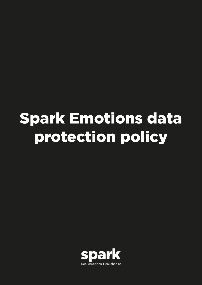# Spark Emotions data protection policy

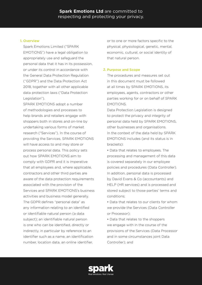## 1. Overview

Spark Emotions Limited ("SPARK EMOTIONS") have a legal obligation to appropriately use and safeguard the personal data that it has in its possession, or under its control in accordance with the General Data Protection Regulation ("GDPR") and the Data Protection Act 2018, together with all other applicable data protection laws ("Data Protection Legislation").

SPARK EMOTIONS adopt a number of methodologies and processes to help brands and retailers engage with shoppers both in stores and on-line by undertaking various forms of market research ("Services"). In the course of providing the Services, SPARK EMOTIONS will have access to and may store or process personal data. This policy sets out how SPARK EMOTIONS aim to comply with GDPR and it is imperative that all employees and, where applicable, contractors and other third parties are aware of the data protection requirements associated with the provision of the Services and SPARK EMOTIONS's business activities and business model generally. The GDPR defines "personal data" as any information relating to an identified or identifiable natural person (a data subject); an identifiable natural person is one who can be identified, directly or indirectly, in particular by reference to an identifier such as a name, an identification number, location data, an online identifier,

or to one or more factors specific to the physical, physiological, genetic, mental, economic, cultural, or social identity of that natural person.

## 2. Purpose and Scope

The procedures and measures set out in this document must be followed at all times by SPARK EMOTIONS, its employees, agents, contractors or other parties working for or on behalf of SPARK EMOTIONS.

Data Protection Legislation is designed to protect the privacy and integrity of personal data held by SPARK EMOTIONS, other businesses and organisations. In the context of the data held by SPARK EMOTIONS includes (and its status is in brackets):

• Data that relates to employees. The processing and management of this data is covered separately in our employee policies and procedures (Data Controller). In addition, personal data is processed by David Evans & Co (accountants) and HELP (HR services) and is processed and stored subject to those parties' terms and conditions;

• Data that relates to our clients for whom we provide the Services (Data Controller or Processor);

• Data that relates to the shoppers we engage with in the course of the provisions of the Services (Data Processor and in some circumstances joint Data Controller); and

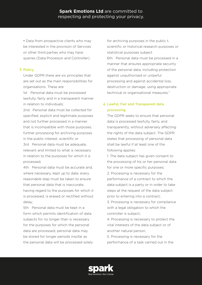• Data from prospective clients who may be interested in the provision of Services or other third parties who may have queries (Data Processor and Controller).

## 3. Policy

Under GDPR there are six principles that are set out as the main responsibilities for organisations. These are:

1st Personal data must be processed lawfully, fairly and in a transparent manner in relation to individuals;

2nd Personal data must be collected for specified, explicit and legitimate purposes and not further processed in a manner that is incompatible with those purposes; further processing for archiving purposes in the public interest, scientific or

3rd Personal data must be adequate, relevant and limited to what is necessary in relation to the purposes for which it is processed;

4th Personal data must be accurate and, where necessary, kept up to date; every reasonable step must be taken to ensure that personal data that is inaccurate, having regard to the purposes for which it is processed, is erased or rectified without delay;

5th Personal data must be kept in a form which permits identification of data subjects for no longer than is necessary for the purposes for which the personal data are processed; personal data may be stored for longer periods insofar as the personal data will be processed solely for archiving purposes in the public t, scientific or historical research purposes or statistical purposes subject 6th Personal data must be processed in a manner that ensures appropriate security of the personal data, including protection against unauthorised or unlawful processing and against accidental loss, destruction or damage, using appropriate

# 4. Lawful, Fair and Transparent data processing

technical or organisational measures."

The GDPR seeks to ensure that personal data is processed lawfully, fairly, and transparently, without adversely affecting the rights of the data subject. The GDPR states that processing of personal data shall be lawful if at least one of the following applies:

1. The data subject has given consent to the processing of his or her personal data for one or more specific purposes; 2. Processing is necessary for the performance of a contract to which the data subject is a party or in order to take steps at the request of the data subject prior to entering into a contract;

3. Processing is necessary for compliance with a legal obligation to which the controller is subject;

4. Processing is necessary to protect the vital interests of the data subject or of another natural person;

5. Processing is necessary for the performance of a task carried out in the

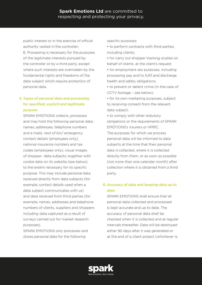public interest or in the exercise of official authority vested in the controller; 6. Processing is necessary for the purposes of the legitimate interests pursued by the controller or by a third party, except where such interests are overridden by the fundamental rights and freedoms of the data subject which require protection of personal data.

# 5. Types of personal data and processing for specified, explicit and legitimate purpose

SPARK EMOTIONS collects, processes and may hold the following personal data: names, addresses, telephone numbers and e mails, next of kin/ emergency contact details (employees only), national insurance numbers and tax codes (employees only), visual images of shopper- data subjects, together with cookie data on its website (see below), to the extent necessary for its specific purpose. This may include personal data received directly from data subjects (for example, contact details used when a data subject communicates with us) and data received from third parties (for example, names, addresses and telephone numbers of clients, suppliers and shoppers including data captured as a result of surveys carried out for market research purposes).

SPARK EMOTIONS only processes and stores personal data for the following

specific purposes:

- to perform contracts with third parties, including clients;
- for carry out shopper tracking studies on behalf of clients, at the client's request;
- for employment law purposes, including processing pay and to fulfil and discharge health and safety obligations;
- to prevent or detect crime (in the case of CCTV footage – see below);

• for its own marketing purposes, subject to receiving consent from the relevant data subject;

• to comply with other statutory obligations or the requirements of SPARK EMOTIONS's insurers or HMRC.

The purposes for which we process personal data will be informed to data subjects at the time that their personal data is collected, where it is collected directly from them, or as soon as possible (not more than one calendar month) after collection where it is obtained from a third party.

# 6. Accuracy of data and keeping data up to date

SPARK EMOTIONS shall ensure that all personal data collected and processed is kept accurate and up to date. The accuracy of personal data shall be checked when it is collected and at regular intervals thereafter. Data will be destroyed either 90 days after it was generated or at the end of a client project (whichever is

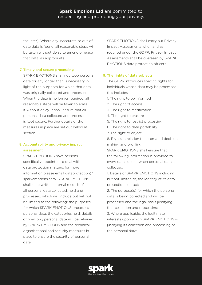the later). Where any inaccurate or out-ofdate data is found, all reasonable steps will be taken without delay to amend or erase that data, as appropriate.

### 7. Timely and secure processing

SPARK EMOTIONS shall not keep personal data for any longer than is necessary in light of the purposes for which that data was originally collected and processed. When the data is no longer required, all reasonable steps will be taken to erase it without delay. It shall ensure that all personal data collected and processed is kept secure. Further details of the measures in place are set out below at section 15.

## 8. Accountability and privacy impact assessment

SPARK EMOTIONS have persons specifically appointed to deal with data protection matters: for more information please email dataprotection@ sparkemotions.com. SPARK EMOTIONS shall keep written internal records of all personal data collected, held and processed, which will include but will not be limited to the following: the purposes for which SPARK EMOTIONS processes personal data, the categories held, details of how long personal data will be retained by SPARK EMOTIONS and the technical, organisational and security measures in place to ensure the security of personal data.

SPARK EMOTIONS shall carry out Privacy Impact Assessments when and as required under the GDPR. Privacy Impact Assessments shall be overseen by SPARK EMOTIONS data protection officers.

### 9. The rights of data subjects

The GDPR introduces specific rights for individuals whose data may be processed, this includes:

- 1. The right to be informed
- 2. The right of access
- 3. The right to rectification
- 4. The right to erasure
- 5. The right to restrict processing
- 6. The right to data portability
- 7. The right to object

8. Rights in relation to automated decision making and profiling

SPARK EMOTIONS shall ensure that the following information is provided to every data subject when personal data is collected:

1. Details of SPARK EMOTIONS including, but not limited to, the identity of its data protection contact;

2. The purpose(s) for which the personal data is being collected and will be processed and the legal basis justifying that collection and processing;

3. Where applicable, the legitimate interests upon which SPARK EMOTIONS is justifying its collection and processing of the personal data;

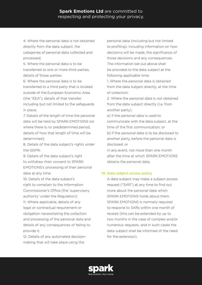4. Where the personal data is not obtained directly from the data subject, the categories of personal data collected and processed;

5. Where the personal data is to be transferred to one or more third parties, details of those parties;

6. Where the personal data is to be transferred to a third party that is located outside of the European Economic Area (the "EEA"), details of that transfer, including but not limited to the safeguards in place;

7. Details of the length of time the personal data will be held by SPARK EMOTIONS (or, where there is no predetermined period, details of how that length of time will be determined);

8. Details of the data subject's rights under the GDPR;

9. Details of the data subject's right to withdraw their consent to SPARK EMOTIONS's processing of their personal data at any time;

10. Details of the data subject's right to complain to the Information Commissioner's Office (the 'supervisory authority' under the Regulation);

11. Where applicable, details of any legal or contractual requirement or obligation necessitating the collection and processing of the personal data and details of any consequences of failing to provide it;

12. Details of any automated decisionmaking that will take place using the

personal data (including but not limited to profiling), including information on how decisions will be made, the significance of those decisions and any consequences. The information set out above shall be provided to the data subject at the following applicable time:

1. Where the personal data is obtained from the data subject directly, at the time of collection;

2. Where the personal data is not obtained from the data subject directly (i.e. from another party):

a) If the personal data is used to communicate with the data subject, at the time of the first communication; or b) If the personal data is to be disclosed to another party, before the personal data is

disclosed; or

In any event, not more than one month after the time at which SPARK EMOTIONS obtains the personal data.

#### 10. Data subject access policy

A data subject may make a subject access request ("SAR") at any time to find out more about the personal data which SPARK EMOTIONS holds about them. SPARK EMOTIONS is normally required to respond to SARs within one month of receipt (this can be extended by up to two months in the case of complex and/or numerous requests, and in such cases the data subject shall be informed of the need for the extension).

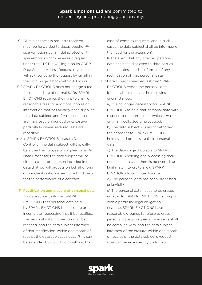- 10.1 All subject access requests received must be forwarded to dataprotection@ sparkemotions.com. If dataprotection@ sparkemotions.com receives a request under the GDPR it will log it on its GDPR Data Subject Access Request register. It will acknowledge the request by emailing the Data Subject back within 48 hours.
- 10.2 SPARK EMOTIONS does not charge a fee for the handling of normal SARs. SPARK EMOTIONS reserves the right to charge reasonable fees for additional copies of information that has already been supplied to a data subject, and for requests that are manifestly unfounded or excessive, particularly where such requests are repetitive.
- 10.3 In SPARK EMOTIONS's case a Data Controller, the data subject will typically be a client, employee or supplier to us. As Data Processor, the data subject will be either a client or a person included in the data that we will process on behalf of one of our clients which is sent to a third party for the performance of a contract.

#### 11. Rectification and erasure of personal data

11.1 If a data subject informs SPARK EMOTIONS that personal data held by SPARK EMOTIONS is inaccurate or incomplete, requesting that it be rectified, the personal data in question shall be rectified, and the data subject informed of that rectification, within one month of receipt the data subject's notice (this can be extended by up to two months in the

case of complex requests, and in such cases the data subject shall be informed of the need for the extension).

- 11.2 In the event that any affected personal data has been disclosed to third parties, those parties shall be informed of any rectification of that personal data.
- 11.3 Data subjects may request that SPARK EMOTIONS erases the personal data it holds about them in the following circumstances:

a) It is no longer necessary for SPARK EMOTIONS to hold that personal data with respect to the purpose for which it was originally collected or processed; b) The data subject wishes to withdraw their consent to SPARK EMOTIONS holding and processing their personal data;

c) The data subject objects to SPARK EMOTIONS holding and processing their personal data (and there is no overriding legitimate interest to allow SPARK EMOTIONS to continue doing so); d) The personal data has been processed unlawfully;

e) The personal data needs to be erased in order for SPARK EMOTIONS to comply with a particular legal obligation.

f) Unless SPARK EMOTIONS have reasonable grounds to refuse to erase personal data, all requests for erasure shall be complied with, and the data subject informed of the erasure, within one month of receipt of the data subject's request (this can be extended by up to two

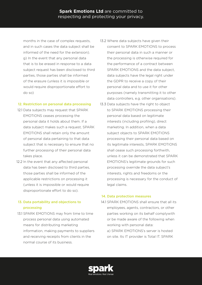months in the case of complex requests, and in such cases the data subject shall be informed of the need for the extension). g) In the event that any personal data that is to be erased in response to a data subject request has been disclosed to third parties, those parties shall be informed of the erasure (unless it is impossible or would require disproportionate effort to do so)

## 12. Restriction on personal data processing

- 12.1 Data subjects may request that SPARK EMOTIONS ceases processing the personal data it holds about them. If a data subject makes such a request, SPARK EMOTIONS shall retain only the amount of personal data pertaining to that data subject that is necessary to ensure that no further processing of their personal data takes place.
- 12.2 In the event that any affected personal data has been disclosed to third parties, those parties shall be informed of the applicable restrictions on processing it (unless it is impossible or would require disproportionate effort to do so).

# 13. Data portability and objections to processing

13.1 SPARK EMOTIONS may from time to time process personal data using automated means for distributing marketing information, making payments to suppliers and receiving receipts from clients in the normal course of its business.

- 13.2 Where data subjects have given their consent to SPARK EMOTIONS to process their personal data in such a manner or the processing is otherwise required for the performance of a contract between SPARK EMOTIONS and the data subject, data subjects have the legal right under the GDPR to receive a copy of their personal data and to use it for other purposes (namely transmitting it to other data controllers, e.g. other organisations).
- 13.3 Data subjects have the right to object to SPARK EMOTIONS processing their personal data based on legitimate interests (including profiling), direct marketing. In addition, when a data subject objects to SPARK EMOTIONS processing their personal data based on its legitimate interests, SPARK EMOTIONS shall cease such processing forthwith, unless it can be demonstrated that SPARK EMOTIONS's legitimate grounds for such processing override the data subject's interests, rights and freedoms or the processing is necessary for the conduct of legal claims.

#### 14. Data protection measures

14.1 SPARK EMOTIONS shall ensure that all its employees, agents, contractors, or other parties working on its behalf complywith or be made aware of the following when working with personal data: a) SPARK EMOTIONS's server is hosted on site. Its IT provider is Total IT. SPARK

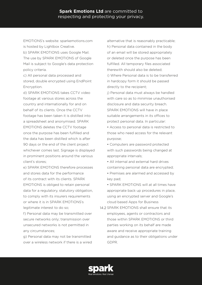EMOTIONS's website: sparkemotions.com is hosted by Lightbox Creative.

b) SPARK EMOTIONS uses Google Mail. The use by SPARK EMOTIONS of Google Mail is subject to Google's data protection policy criteria.

c) All personal data processed and stored, double encrypted using EndPoint Encryption.

d) SPARK EMOTIONS takes CCTV video footage at various stores across the country and internationally for and on behalf of its clients. Once the CCTV footage has been taken it is distilled into a spreadsheet and anonymised. SPARK EMOTIONS deletes the CCTV footage once the purpose has been fulfilled and the data has been distilled which is after 90 days or the end of the client project whichever comes last. Signage is displayed in prominent positions around the various client's stores;

e) SPARK EMOTIONS therefore processes and stores data for the performance of its contract with its clients. SPARK EMOTIONS is obliged to retain personal data for a regulatory, statutory obligation, to comply with its insurers requirements or where it is in SPARK EMOTIONS's legitimate interest to do so;

f) Personal data may be transmitted over secure networks only; transmission over unsecured networks is not permitted in any circumstances;

g) Personal data may not be transmitted over a wireless network if there is a wired alternative that is reasonably practicable; h) Personal data contained in the body of an email will be stored appropriately or deleted once the purpose has been fulfilled. All temporary files associated therewith should also be deleted;

i) Where Personal data is to be transferred in hardcopy form it should be passed directly to the recipient;

j) Personal data must always be handled with care so as to minimise unauthorised disclosure and data security breach. SPARK EMOTIONS will have in place suitable arrangements in its offices to protect personal data. In particular:

• Access to personal data is restricted to those who need access for the relevant purpose;

- Computers are password protected with such passwords being changed at appropriate intervals;
- All internal and external hard drives containing personal data are encrypted;
- Premises are alarmed and accessed by key pad;
- SPARK EMOTIONS will at all times have appropriate back up procedures in place, using an encrypted server and Google's cloud based Apps for Business
- 14.2 SPARK EMOTIONS shall ensure that its employees, agents or contractors and those within SPARK EMOTIONS or third parties working on its behalf are made aware and receive appropriate training and guidance as to their obligations under GDPR.

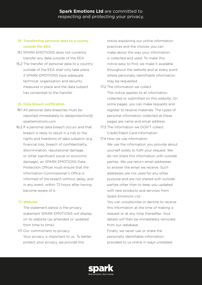# 15. Transferring personal data to a county outside the EEA

- 15.1 SPARK EMOTIONS does not currently transfer any data outside of the EEA
- 15.2 The transfer of personal data to a country outside of the EEA shall only take place if SPARK EMOTIONS have adequate technical, organisation and security measures in place and the data subject has consented to the transfer.

## 16. Data breach notification

- 16.1 All personal data breaches must be reported immediately to dataprotection@ sparkemotions.com
- 16.2 If a personal data breach occurs and that breach is likely to result in a risk to the rights and freedoms of data subjects (e.g. financial loss, breach of confidentiality, discrimination, reputational damage, or other significant social or economic damage), an SPARK EMOTIONS Data Protection Officer must ensure that the Information Commissioner's Office is informed of the breach without delay, and in any event, within 72 hours after having become aware of it.

## 17. Website

The statement below is the privacy statement SPARK EMOTIONS will display on its website (as amended or updated from time to time):

17.1 Our commitment to privacy Your privacy is important to us. To better protect your privacy, we provide this

notice explaining our online information practices and the choices you can make about the way your information is collected and used. To make this notice easy to find, we make it available throughout the website and at every point where personally identifiable information may be requested.

17.2 The information we collect This notice applies to all information

collected or submitted on this website. On some pages, you can make requests and register to receive materials. The types of personal information collected at these pages are name and email address.

- 17.3 The information we DON'T collect Credit/Debit Card Information
- 17.4 How we use information

We use the information you provide about yourself solely to fulfil your request. We do not share this information with outside parties. We use return email addresses to answer the email we receive. Such addresses are not used for any other purpose and are not shared with outside parties other than to keep you updated with new products and services from Spark Emotions Ltd.

You can unsubscribe or decline to receive this information at the time of making a request or at any time thereafter. Your details will then be immediately removed from our database.

Finally, we never use or share the personally identifiable information provided to us online in ways unrelated

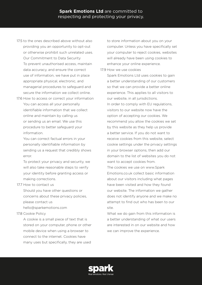- 17.5 to the ones described above without also providing you an opportunity to opt-out or otherwise prohibit such unrelated uses. Our Commitment to Data Security To prevent unauthorised access, maintain data accuracy, and ensure the correct use of information, we have put in place appropriate physical, electronic, and managerial procedures to safeguard and secure the information we collect online.
- 17.6 How to access or correct your information You can access all your personally identifiable information that we collect online and maintain by calling us or sending us an email. We use this procedure to better safeguard your information.

You can correct factual errors in your personally identifiable information by sending us a request that credibly shows error.

To protect your privacy and security, we will also take reasonable steps to verify your identity before granting access or making corrections.

#### 17.7 How to contact us

Should you have other questions or concerns about these privacy policies, please contact us hello@sparkemotions.com

#### 17.8 Cookie Policy

A cookie is a small piece of text that is stored on your computer, phone or other mobile device when using a browser to connect to the internet. Cookies have many uses but specifically, they are used

to store information about you on your computer. Unless you have specifically set your computer to reject cookies, websites will already have been using cookies to enhance your online experience.

#### 17.9 How we use cookies

Spark Emotions Ltd uses cookies to gain a better understanding of our customers so that we can provide a better online experience. This applies to all visitors to our website, in all jurisdictions. In order to comply with EU regulations, visitors to our website now have the option of accepting our cookies. We recommend you allow the cookies we set by this website as they help us provide a better service. If you do not want to receive cookies from this website, select cookie settings under the privacy settings in your browser options, then add our domain to the list of websites you do not want to accept cookies from.

The cookies we use on www.Spark Emotions.co.uk collect basic information about our visitors including what pages have been visited and how they found our website. The information we gather does not identify anyone and we make no attempt to find out who has been to our site.

What we do gain from this information is a better understanding of what our users are interested in on our website and how we can improve the experience.